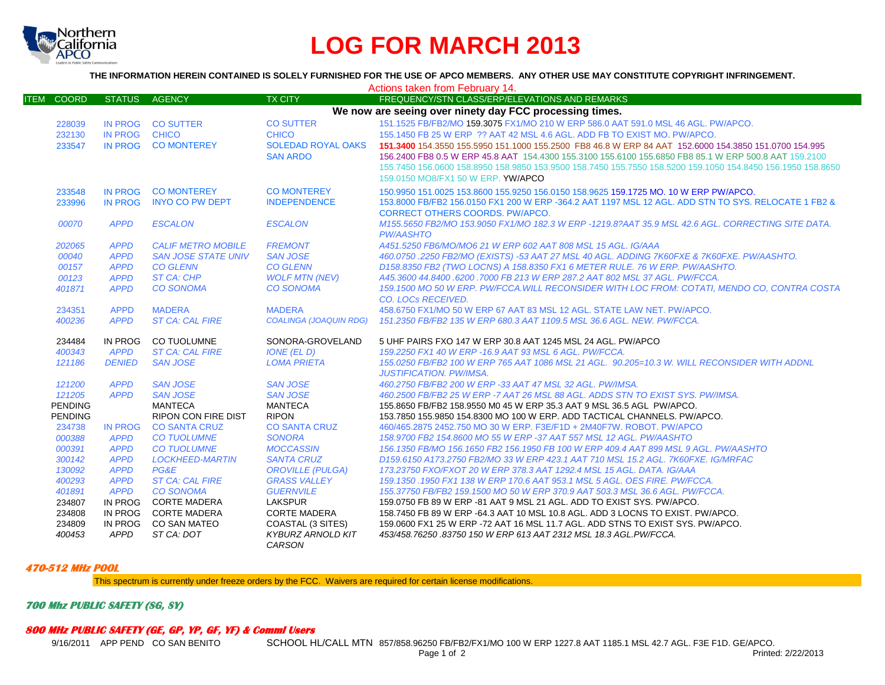

## **LOG FOR MARCH 2013**

**THE INFORMATION HEREIN CONTAINED IS SOLELY FURNISHED FOR THE USE OF APCO MEMBERS. ANY OTHER USE MAY CONSTITUTE COPYRIGHT INFRINGEMENT.**

|                                                         |                            |                                |                                                | Actions taken from February 14.                                                                                                                            |
|---------------------------------------------------------|----------------------------|--------------------------------|------------------------------------------------|------------------------------------------------------------------------------------------------------------------------------------------------------------|
| COORD<br>ITEM                                           | STATUS AGENCY              |                                | <b>TX CITY</b>                                 | FREQUENCY/STN CLASS/ERP/ELEVATIONS AND REMARKS                                                                                                             |
| We now are seeing over ninety day FCC processing times. |                            |                                |                                                |                                                                                                                                                            |
| 228039                                                  |                            | IN PROG CO SUTTER              | <b>CO SUTTER</b>                               | 151.1525 FB/FB2/MO 159.3075 FX1/MO 210 W ERP 586.0 AAT 591.0 MSL 46 AGL, PW/APCO.                                                                          |
| 232130                                                  | IN PROG CHICO              |                                | <b>CHICO</b>                                   | 155.1450 FB 25 W ERP ?? AAT 42 MSL 4.6 AGL. ADD FB TO EXIST MO. PW/APCO.                                                                                   |
| 233547                                                  |                            | IN PROG CO MONTEREY            | <b>SOLEDAD ROYAL OAKS</b>                      | 151,3400 154,3550 155,5950 151,1000 155,2500 FB8 46.8 W ERP 84 AAT 152,6000 154,3850 151,0700 154,995                                                      |
|                                                         |                            |                                | <b>SAN ARDO</b>                                | 156.2400 FB8 0.5 W ERP 45.8 AAT 154.4300 155.3100 155.6100 155.6850 FB8 85.1 W ERP 500.8 AAT 159.2100                                                      |
|                                                         |                            |                                |                                                | 155,7450 156,0600 158,8950 158,9850 153,9500 158,7450 155,7550 158,5200 159,1050 154,8450 156,1950 158,8650                                                |
|                                                         |                            |                                |                                                | 159.0150 MO8/FX1 50 W ERP. YW/APCO                                                                                                                         |
| 233548                                                  | <b>IN PROG</b>             | <b>CO MONTEREY</b>             | <b>CO MONTEREY</b>                             | 150.9950 151.0025 153.8600 155.9250 156.0150 158.9625 159.1725 MO. 10 W ERP PW/APCO.                                                                       |
| 233996                                                  | <b>IN PROG</b>             | <b>INYO CO PW DEPT</b>         | <b>INDEPENDENCE</b>                            | 153.8000 FB/FB2 156.0150 FX1 200 W ERP -364.2 AAT 1197 MSL 12 AGL. ADD STN TO SYS. RELOCATE 1 FB2 &                                                        |
|                                                         |                            |                                |                                                | <b>CORRECT OTHERS COORDS, PW/APCO.</b>                                                                                                                     |
| 00070                                                   | <b>APPD</b>                | <b>ESCALON</b>                 | <b>ESCALON</b>                                 | M155,5650 FB2/MO 153,9050 FX1/MO 182.3 W ERP -1219.8?AAT 35.9 MSL 42.6 AGL, CORRECTING SITE DATA.                                                          |
|                                                         |                            |                                |                                                | <b>PW/AASHTO</b>                                                                                                                                           |
| 202065                                                  | <b>APPD</b>                | <b>CALIF METRO MOBILE</b>      | <b>FREMONT</b>                                 | A451.5250 FB6/MO/MO6 21 W ERP 602 AAT 808 MSL 15 AGL. IG/AAA                                                                                               |
| 00040                                                   | <b>APPD</b>                | <b>SAN JOSE STATE UNIV</b>     | <b>SAN JOSE</b>                                | 460.0750 .2250 FB2/MO (EXISTS) -53 AAT 27 MSL 40 AGL. ADDING 7K60FXE & 7K60FXE. PW/AASHTO.                                                                 |
| 00157                                                   | <b>APPD</b>                | <b>CO GLENN</b>                | <b>CO GLENN</b>                                | D158.8350 FB2 (TWO LOCNS) A 158.8350 FX1 6 METER RULE, 76 W ERP, PW/AASHTO,                                                                                |
| 00123                                                   | <b>APPD</b>                | <b>ST CA: CHP</b>              | <b>WOLF MTN (NEV)</b>                          | A45.3600 44.8400 .6200 .7000 FB 213 W ERP 287.2 AAT 802 MSL 37 AGL. PW/FCCA.                                                                               |
| 401871                                                  | <b>APPD</b>                | <b>CO SONOMA</b>               | <b>CO SONOMA</b>                               | 159.1500 MO 50 W ERP. PW/FCCA.WILL RECONSIDER WITH LOC FROM: COTATI, MENDO CO, CONTRA COSTA                                                                |
|                                                         |                            |                                |                                                | <b>CO. LOCS RECEIVED.</b>                                                                                                                                  |
| 234351                                                  | <b>APPD</b>                | <b>MADERA</b>                  | <b>MADERA</b>                                  | 458,6750 FX1/MO 50 W ERP 67 AAT 83 MSL 12 AGL, STATE LAW NET, PW/APCO.                                                                                     |
| 400236                                                  | <b>APPD</b>                | <b>ST CA: CAL FIRE</b>         | <b>COALINGA (JOAQUIN RDG)</b>                  | 151.2350 FB/FB2 135 W ERP 680.3 AAT 1109.5 MSL 36.6 AGL. NEW. PW/FCCA.                                                                                     |
| 234484                                                  | IN PROG                    | <b>CO TUOLUMNE</b>             | SONORA-GROVELAND                               | 5 UHF PAIRS FXO 147 W ERP 30.8 AAT 1245 MSL 24 AGL, PW/APCO                                                                                                |
| 400343                                                  | <b>APPD</b>                | <b>ST CA: CAL FIRE</b>         | <b>IONE (EL D)</b>                             | 159.2250 FX1 40 W ERP - 16.9 AAT 93 MSL 6 AGL. PW/FCCA.                                                                                                    |
| 121186                                                  | <b>DENIED</b>              | <b>SAN JOSE</b>                | <b>LOMA PRIETA</b>                             | 155.0250 FB/FB2 100 W ERP 765 AAT 1086 MSL 21 AGL. 90.205=10.3 W. WILL RECONSIDER WITH ADDNL                                                               |
|                                                         |                            |                                |                                                | <b>JUSTIFICATION. PW/IMSA.</b>                                                                                                                             |
| 121200                                                  | <b>APPD</b>                | <b>SAN JOSE</b>                | <b>SAN JOSE</b>                                | 460.2750 FB/FB2 200 W ERP -33 AAT 47 MSL 32 AGL. PW/IMSA.                                                                                                  |
| 121205                                                  | <b>APPD</b>                | <b>SAN JOSE</b>                | <b>SAN JOSE</b>                                | 460.2500 FB/FB2 25 W ERP -7 AAT 26 MSL 88 AGL. ADDS STN TO EXIST SYS. PW/IMSA.                                                                             |
| <b>PENDING</b>                                          |                            | <b>MANTECA</b>                 | <b>MANTECA</b>                                 | 155,8650 FB/FB2 158,9550 M0 45 W ERP 35.3 AAT 9 MSL 36.5 AGL PW/APCO.                                                                                      |
| <b>PENDING</b>                                          |                            | <b>RIPON CON FIRE DIST</b>     | <b>RIPON</b>                                   | 153.7850 155.9850 154.8300 MO 100 W ERP. ADD TACTICAL CHANNELS, PW/APCO.                                                                                   |
| 234738                                                  | <b>IN PROG</b>             | <b>CO SANTA CRUZ</b>           | <b>CO SANTA CRUZ</b>                           | 460/465.2875 2452.750 MO 30 W ERP. F3E/F1D + 2M40F7W, ROBOT, PW/APCO                                                                                       |
| 000388                                                  | <b>APPD</b>                | <b>CO TUOLUMNE</b>             | <b>SONORA</b>                                  | 158.9700 FB2 154.8600 MO 55 W ERP -37 AAT 557 MSL 12 AGL. PW/AASHTO                                                                                        |
| 000391                                                  | <b>APPD</b>                | <b>CO TUOLUMNE</b>             | <b>MOCCASSIN</b>                               | 156,1350 FB/MO 156,1650 FB2 156,1950 FB 100 W ERP 409.4 AAT 899 MSL 9 AGL, PW/AASHTO                                                                       |
| 300142                                                  | <b>APPD</b>                | <b>LOCKHEED-MARTIN</b>         | <b>SANTA CRUZ</b>                              | D159.6150 A173.2750 FB2/MO 33 W ERP 423.1 AAT 710 MSL 15.2 AGL. 7K60FXE. IG/MRFAC                                                                          |
| 130092<br>400293                                        | <b>APPD</b><br><b>APPD</b> | PG&E<br><b>ST CA: CAL FIRE</b> | <b>OROVILLE (PULGA)</b><br><b>GRASS VALLEY</b> | 173.23750 FXO/FXOT 20 W ERP 378.3 AAT 1292.4 MSL 15 AGL. DATA. IG/AAA                                                                                      |
| 401891                                                  | <b>APPD</b>                | <b>CO SONOMA</b>               | <b>GUERNVILE</b>                               | 159.1350 .1950 FX1 138 W ERP 170.6 AAT 953.1 MSL 5 AGL. OES FIRE. PW/FCCA.<br>155.37750 FB/FB2 159.1500 MO 50 W ERP 370.9 AAT 503.3 MSL 36.6 AGL. PW/FCCA. |
| 234807                                                  | IN PROG                    | <b>CORTE MADERA</b>            | <b>LAKSPUR</b>                                 | 159.0750 FB 89 W ERP -81 AAT 9 MSL 21 AGL. ADD TO EXIST SYS. PW/APCO.                                                                                      |
| 234808                                                  | IN PROG                    | <b>CORTE MADERA</b>            | <b>CORTE MADERA</b>                            | 158.7450 FB 89 W ERP -64.3 AAT 10 MSL 10.8 AGL. ADD 3 LOCNS TO EXIST. PW/APCO.                                                                             |
| 234809                                                  | IN PROG                    | CO SAN MATEO                   | COASTAL (3 SITES)                              | 159.0600 FX1 25 W ERP -72 AAT 16 MSL 11.7 AGL. ADD STNS TO EXIST SYS. PW/APCO.                                                                             |
| 400453                                                  | APPD                       | ST CA: DOT                     | <b>KYBURZ ARNOLD KIT</b>                       | 453/458.76250.83750 150 W ERP 613 AAT 2312 MSL 18.3 AGL.PW/FCCA.                                                                                           |
|                                                         |                            |                                | CARSON                                         |                                                                                                                                                            |

## **470-512 MHz POOL**

This spectrum is currently under freeze orders by the FCC. Waivers are required for certain license modifications.

**700 Mhz PUBLIC SAFETY (SG, SY)**

## **800 MHz PUBLIC SAFETY (GE, GP, YP, GF, YF) & Comml Users**

9/16/2011 APP PEND CO SAN BENITO SCHOOL HL/CALL MTN 857/858.96250 FB/FB2/FX1/MO 100 W ERP 1227.8 AAT 1185.1 MSL 42.7 AGL. F3E F1D. GE/APCO.